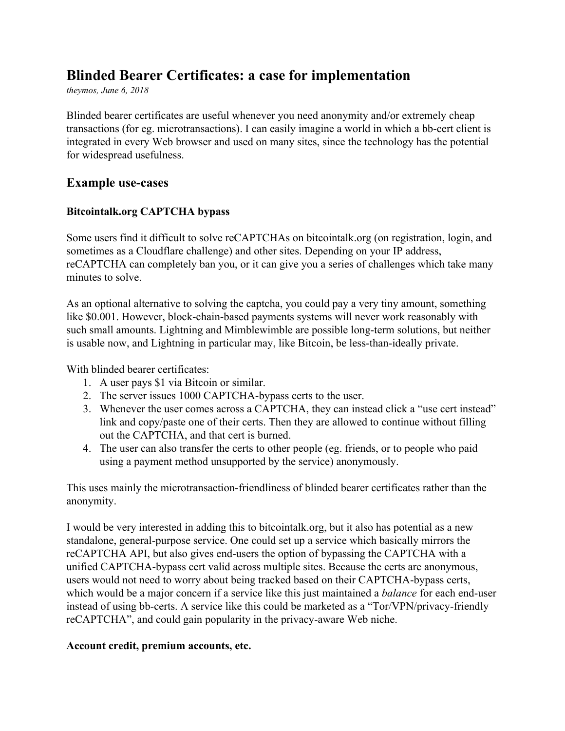# **Blinded Bearer Certificates: a case for implementation**

*theymos, June 6, 2018*

Blinded bearer certificates are useful whenever you need anonymity and/or extremely cheap transactions (for eg. microtransactions). I can easily imagine a world in which a bb-cert client is integrated in every Web browser and used on many sites, since the technology has the potential for widespread usefulness.

### **Example use-cases**

#### **Bitcointalk.org CAPTCHA bypass**

Some users find it difficult to solve reCAPTCHAs on bitcointalk.org (on registration, login, and sometimes as a Cloudflare challenge) and other sites. Depending on your IP address, reCAPTCHA can completely ban you, or it can give you a series of challenges which take many minutes to solve.

As an optional alternative to solving the captcha, you could pay a very tiny amount, something like \$0.001. However, block-chain-based payments systems will never work reasonably with such small amounts. Lightning and Mimblewimble are possible long-term solutions, but neither is usable now, and Lightning in particular may, like Bitcoin, be less-than-ideally private.

With blinded bearer certificates:

- 1. A user pays \$1 via Bitcoin or similar.
- 2. The server issues 1000 CAPTCHA-bypass certs to the user.
- 3. Whenever the user comes across a CAPTCHA, they can instead click a "use cert instead" link and copy/paste one of their certs. Then they are allowed to continue without filling out the CAPTCHA, and that cert is burned.
- 4. The user can also transfer the certs to other people (eg. friends, or to people who paid using a payment method unsupported by the service) anonymously.

This uses mainly the microtransaction-friendliness of blinded bearer certificates rather than the anonymity.

I would be very interested in adding this to bitcointalk.org, but it also has potential as a new standalone, general-purpose service. One could set up a service which basically mirrors the reCAPTCHA API, but also gives end-users the option of bypassing the CAPTCHA with a unified CAPTCHA-bypass cert valid across multiple sites. Because the certs are anonymous, users would not need to worry about being tracked based on their CAPTCHA-bypass certs, which would be a major concern if a service like this just maintained a *balance* for each end-user instead of using bb-certs. A service like this could be marketed as a "Tor/VPN/privacy-friendly reCAPTCHA", and could gain popularity in the privacy-aware Web niche.

#### **Account credit, premium accounts, etc.**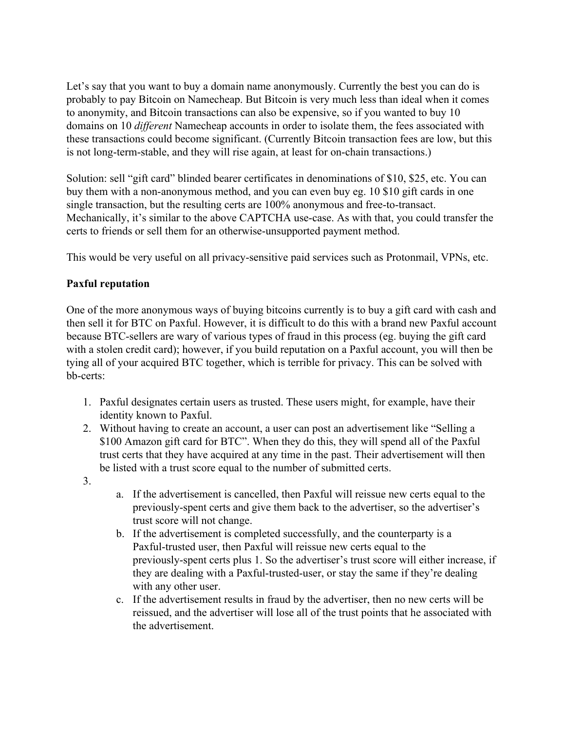Let's say that you want to buy a domain name anonymously. Currently the best you can do is probably to pay Bitcoin on Namecheap. But Bitcoin is very much less than ideal when it comes to anonymity, and Bitcoin transactions can also be expensive, so if you wanted to buy 10 domains on 10 *different* Namecheap accounts in order to isolate them, the fees associated with these transactions could become significant. (Currently Bitcoin transaction fees are low, but this is not long-term-stable, and they will rise again, at least for on-chain transactions.)

Solution: sell "gift card" blinded bearer certificates in denominations of \$10, \$25, etc. You can buy them with a non-anonymous method, and you can even buy eg. 10 \$10 gift cards in one single transaction, but the resulting certs are 100% anonymous and free-to-transact. Mechanically, it's similar to the above CAPTCHA use-case. As with that, you could transfer the certs to friends or sell them for an otherwise-unsupported payment method.

This would be very useful on all privacy-sensitive paid services such as Protonmail, VPNs, etc.

#### **Paxful reputation**

One of the more anonymous ways of buying bitcoins currently is to buy a gift card with cash and then sell it for BTC on Paxful. However, it is difficult to do this with a brand new Paxful account because BTC-sellers are wary of various types of fraud in this process (eg. buying the gift card with a stolen credit card); however, if you build reputation on a Paxful account, you will then be tying all of your acquired BTC together, which is terrible for privacy. This can be solved with bb-certs:

- 1. Paxful designates certain users as trusted. These users might, for example, have their identity known to Paxful.
- 2. Without having to create an account, a user can post an advertisement like "Selling a \$100 Amazon gift card for BTC". When they do this, they will spend all of the Paxful trust certs that they have acquired at any time in the past. Their advertisement will then be listed with a trust score equal to the number of submitted certs.
- 3.
- a. If the advertisement is cancelled, then Paxful will reissue new certs equal to the previously-spent certs and give them back to the advertiser, so the advertiser's trust score will not change.
- b. If the advertisement is completed successfully, and the counterparty is a Paxful-trusted user, then Paxful will reissue new certs equal to the previously-spent certs plus 1. So the advertiser's trust score will either increase, if they are dealing with a Paxful-trusted-user, or stay the same if they're dealing with any other user.
- c. If the advertisement results in fraud by the advertiser, then no new certs will be reissued, and the advertiser will lose all of the trust points that he associated with the advertisement.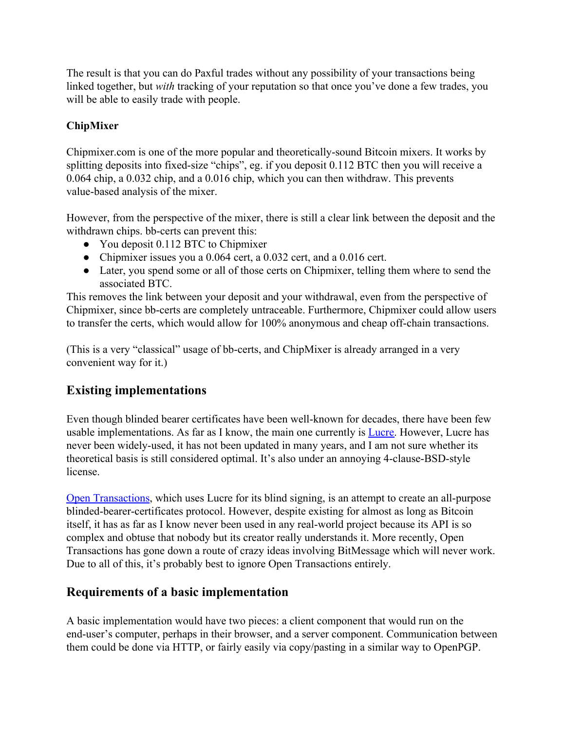The result is that you can do Paxful trades without any possibility of your transactions being linked together, but *with* tracking of your reputation so that once you've done a few trades, you will be able to easily trade with people.

## **ChipMixer**

Chipmixer.com is one of the more popular and theoretically-sound Bitcoin mixers. It works by splitting deposits into fixed-size "chips", eg. if you deposit 0.112 BTC then you will receive a 0.064 chip, a 0.032 chip, and a 0.016 chip, which you can then withdraw. This prevents value-based analysis of the mixer.

However, from the perspective of the mixer, there is still a clear link between the deposit and the withdrawn chips. bb-certs can prevent this:

- You deposit 0.112 BTC to Chipmixer
- Chipmixer issues you a 0.064 cert, a 0.032 cert, and a 0.016 cert.
- Later, you spend some or all of those certs on Chipmixer, telling them where to send the associated BTC.

This removes the link between your deposit and your withdrawal, even from the perspective of Chipmixer, since bb-certs are completely untraceable. Furthermore, Chipmixer could allow users to transfer the certs, which would allow for 100% anonymous and cheap off-chain transactions.

(This is a very "classical" usage of bb-certs, and ChipMixer is already arranged in a very convenient way for it.)

# **Existing implementations**

Even though blinded bearer certificates have been well-known for decades, there have been few usable implementations. As far as I know, the main one currently is [Lucre.](https://github.com/benlaurie/lucre) However, Lucre has never been widely-used, it has not been updated in many years, and I am not sure whether its theoretical basis is still considered optimal. It's also under an annoying 4-clause-BSD-style license.

[Open Transactions](http://opentransactions.org/), which uses Lucre for its blind signing, is an attempt to create an all-purpose blinded-bearer-certificates protocol. However, despite existing for almost as long as Bitcoin itself, it has as far as I know never been used in any real-world project because its API is so complex and obtuse that nobody but its creator really understands it. More recently, Open Transactions has gone down a route of crazy ideas involving BitMessage which will never work. Due to all of this, it's probably best to ignore Open Transactions entirely.

# **Requirements of a basic implementation**

A basic implementation would have two pieces: a client component that would run on the end-user's computer, perhaps in their browser, and a server component. Communication between them could be done via HTTP, or fairly easily via copy/pasting in a similar way to OpenPGP.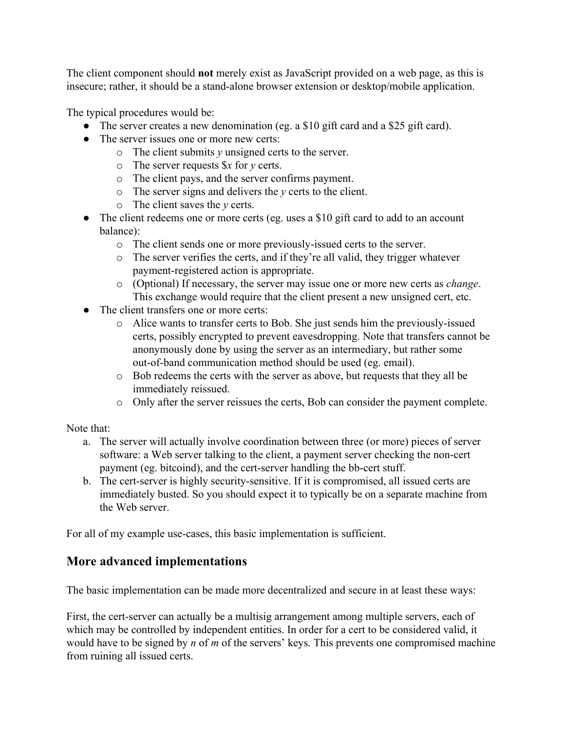The client component should **not** merely exist as JavaScript provided on a web page, as this is insecure; rather, it should be a stand-alone browser extension or desktop/mobile application.

The typical procedures would be:

- The server creates a new denomination (eg. a \$10 gift card and a \$25 gift card).
- The server issues one or more new certs:
	- o The client submits *y* unsigned certs to the server.
	- o The server requests \$*x* for *y* certs.
	- o The client pays, and the server confirms payment.
	- o The server signs and delivers the *y* certs to the client.
	- o The client saves the *y* certs.
- The client redeems one or more certs (eg. uses a \$10 gift card to add to an account balance):
	- o The client sends one or more previously-issued certs to the server.
	- o The server verifies the certs, and if they're all valid, they trigger whatever payment-registered action is appropriate.
	- o (Optional) If necessary, the server may issue one or more new certs as *change*. This exchange would require that the client present a new unsigned cert, etc.
- The client transfers one or more certs:
	- o Alice wants to transfer certs to Bob. She just sends him the previously-issued certs, possibly encrypted to prevent eavesdropping. Note that transfers cannot be anonymously done by using the server as an intermediary, but rather some out-of-band communication method should be used (eg. email).
	- o Bob redeems the certs with the server as above, but requests that they all be immediately reissued.
	- o Only after the server reissues the certs, Bob can consider the payment complete.

Note that:

- a. The server will actually involve coordination between three (or more) pieces of server software: a Web server talking to the client, a payment server checking the non-cert payment (eg. bitcoind), and the cert-server handling the bb-cert stuff.
- b. The cert-server is highly security-sensitive. If it is compromised, all issued certs are immediately busted. So you should expect it to typically be on a separate machine from the Web server.

For all of my example use-cases, this basic implementation is sufficient.

# **More advanced implementations**

The basic implementation can be made more decentralized and secure in at least these ways:

First, the cert-server can actually be a multisig arrangement among multiple servers, each of which may be controlled by independent entities. In order for a cert to be considered valid, it would have to be signed by *n* of *m* of the servers' keys. This prevents one compromised machine from ruining all issued certs.